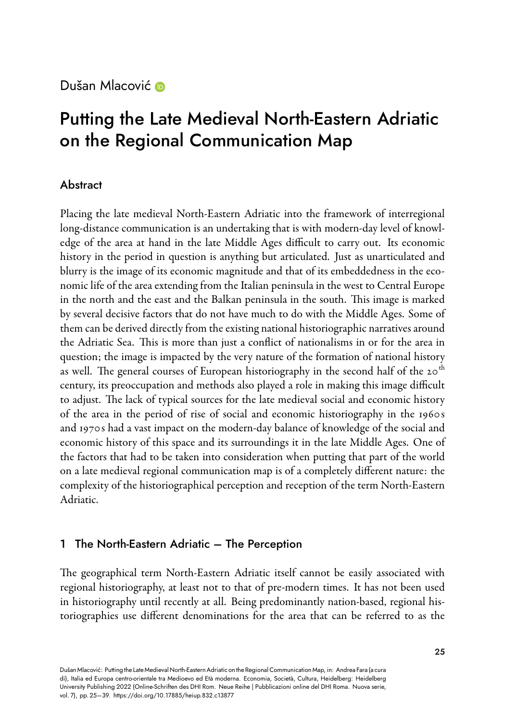## Dušan Mlacovi[ć](https://orcid.org/0000-0001-8752-0815) D

# Putting the Late Medieval North-Eastern Adriatic on the Regional Communication Map

## Abstract

Placing the late medieval North-Eastern Adriatic into the framework of interregional long-distance communication is an undertaking that is with modern-day level of knowledge of the area at hand in the late Middle Ages difficult to carry out. Its economic history in the period in question is anything but articulated. Just as unarticulated and blurry is the image of its economic magnitude and that of its embeddedness in the economic life of the area extending from the Italian peninsula in the west to Central Europe in the north and the east and the Balkan peninsula in the south. This image is marked by several decisive factors that do not have much to do with the Middle Ages. Some of them can be derived directly from the existing national historiographic narratives around the Adriatic Sea. This is more than just a conflict of nationalisms in or for the area in question; the image is impacted by the very nature of the formation of national history as well. The general courses of European historiography in the second half of the 20<sup>th</sup> century, its preoccupation and methods also played a role in making this image difficult to adjust. The lack of typical sources for the late medieval social and economic history of the area in the period of rise of social and economic historiography in the 1960 s and 1970s had a vast impact on the modern-day balance of knowledge of the social and economic history of this space and its surroundings it in the late Middle Ages. One of the factors that had to be taken into consideration when putting that part of the world on a late medieval regional communication map is of a completely different nature: the complexity of the historiographical perception and reception of the term North-Eastern Adriatic.

## 1 The North-Eastern Adriatic – The Perception

The geographical term North-Eastern Adriatic itself cannot be easily associated with regional historiography, at least not to that of premodern times. It has not been used in historiography until recently at all. Being predominantly nation-based, regional historiographies use different denominations for the area that can be referred to as the

Dušan Mlacović: Putting the Late Medieval NorthEastern Adriatic on the Regional Communication Map, in: Andrea Fara (a cura di), Italia ed Europa centro-orientale tra Medioevo ed Età moderna. Economia, Società, Cultura, Heidelberg: Heidelberg University Publishing 2022 (Online-Schriften des DHI Rom. Neue Reihe | Pubblicazioni online del DHI Roma. Nuova serie, vol. 7), pp. 25–39.<https://doi.org/10.17885/heiup.832.c13877>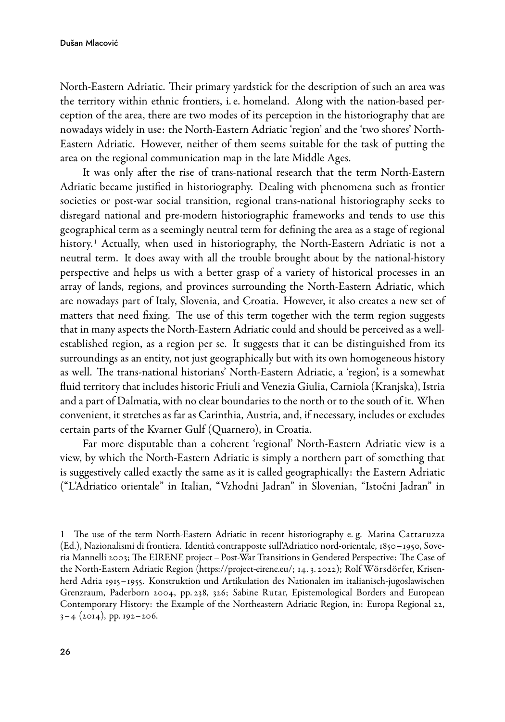North-Eastern Adriatic. Their primary yardstick for the description of such an area was the territory within ethnic frontiers, i.e. homeland. Along with the nation-based perception of the area, there are two modes of its perception in the historiography that are nowadays widely in use: the North-Eastern Adriatic 'region' and the 'two shores' North-Eastern Adriatic. However, neither of them seems suitable for the task of putting the area on the regional communication map in the late Middle Ages.

It was only after the rise of trans-national research that the term North-Eastern Adriatic became justified in historiography. Dealing with phenomena such as frontier societies or post-war social transition, regional trans-national historiography seeks to disregard national and pre-modern historiographic frameworks and tends to use this geographical term as a seemingly neutral term for defining the area as a stage of regional history.<sup>1</sup> Actually, when used in historiography, the North-Eastern Adriatic is not a neutral term. It does away with all the trouble brought about by the national-history perspective and helps us with a better grasp of a variety of historical processes in an array of lands, regions, and provinces surrounding the North-Eastern Adriatic, which are nowadays part of Italy, Slovenia, and Croatia. However, it also creates a new set of matters that need fixing. The use of this term together with the term region suggests that in many aspects the North-Eastern Adriatic could and should be perceived as a wellestablished region, as a region per se. It suggests that it can be distinguished from its surroundings as an entity, not just geographically but with its own homogeneous history as well. The trans-national historians' North-Eastern Adriatic, a 'region', is a somewhat fluid territory that includes historic Friuli and Venezia Giulia, Carniola (Kranjska), Istria and a part of Dalmatia, with no clear boundaries to the north or to the south of it. When convenient, it stretches as far as Carinthia, Austria, and, if necessary, includes or excludes certain parts of the Kvarner Gulf (Quarnero), in Croatia.

Far more disputable than a coherent 'regional' North-Eastern Adriatic view is a view, by which the North-Eastern Adriatic is simply a northern part of something that is suggestively called exactly the same as it is called geographically: the Eastern Adriatic ("L'Adriatico orientale" in Italian, "Vzhodni Jadran" in Slovenian, "Istočni Jadran" in

<sup>1</sup> The use of the term NorthEastern Adriatic in recent historiography e. g. Marina Cattaruzza (Ed.), Nazionalismi di frontiera. Identità contrapposte sull'Adriatico nordorientale, 1850–1950, Soveria Mannelli 2003; The EIRENE project – PostWar Transitions in Gendered Perspective: The Case of theNorth-Eastern Adriatic Region ([https://project-eirene.eu/;](https://project-eirene.eu/) 14. 3. 2022); Rolf Wörsdörfer, Krisenherd Adria 1915–1955. Konstruktion und Artikulation des Nationalen im italianisch-jugoslawischen Grenzraum, Paderborn 2004, pp. 238, 326; Sabine Rutar, Epistemological Borders and European Contemporary History: the Example of the Northeastern Adriatic Region, in: Europa Regional 22, 3–4 (2014), pp. 192–206.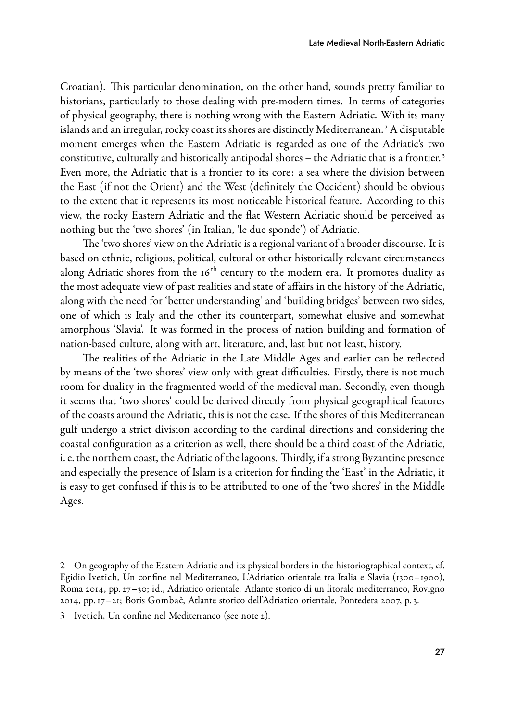Croatian). This particular denomination, on the other hand, sounds pretty familiar to historians, particularly to those dealing with pre-modern times. In terms of categories of physical geography, there is nothing wrong with the Eastern Adriatic. With its many islands and an irregular, rocky coast its shores are distinctly Mediterranean. <sup>2</sup> A disputable moment emerges when the Eastern Adriatic is regarded as one of the Adriatic's two constitutive, culturally and historically antipodal shores – the Adriatic that is a frontier. <sup>3</sup> Even more, the Adriatic that is a frontier to its core: a sea where the division between the East (if not the Orient) and the West (definitely the Occident) should be obvious to the extent that it represents its most noticeable historical feature. According to this view, the rocky Eastern Adriatic and the flat Western Adriatic should be perceived as nothing but the 'two shores' (in Italian, 'le due sponde') of Adriatic.

The 'two shores' view on the Adriatic is a regional variant of a broader discourse. It is based on ethnic, religious, political, cultural or other historically relevant circumstances along Adriatic shores from the  $16<sup>th</sup>$  century to the modern era. It promotes duality as the most adequate view of past realities and state of affairs in the history of the Adriatic, along with the need for 'better understanding' and 'building bridges' between two sides, one of which is Italy and the other its counterpart, somewhat elusive and somewhat amorphous 'Slavia'. It was formed in the process of nation building and formation of nation-based culture, along with art, literature, and, last but not least, history.

The realities of the Adriatic in the Late Middle Ages and earlier can be reflected by means of the 'two shores' view only with great difficulties. Firstly, there is not much room for duality in the fragmented world of the medieval man. Secondly, even though it seems that 'two shores' could be derived directly from physical geographical features of the coasts around the Adriatic, this is not the case. If the shores of this Mediterranean gulf undergo a strict division according to the cardinal directions and considering the coastal configuration as a criterion as well, there should be a third coast of the Adriatic, i. e. the northern coast, the Adriatic of the lagoons. Thirdly, if a strong Byzantine presence and especially the presence of Islam is a criterion for finding the 'East' in the Adriatic, it is easy to get confused if this is to be attributed to one of the 'two shores' in the Middle Ages.

<sup>2</sup> On geography of the Eastern Adriatic and its physical borders in the historiographical context, cf. Egidio Ivetich, Un confine nel Mediterraneo, L'Adriatico orientale tra Italia e Slavia (1300–1900), Roma 2014, pp. 27–30; id., Adriatico orientale. Atlante storico di un litorale mediterraneo, Rovigno 2014, pp. 17–21; Boris Gombač, Atlante storico dell'Adriatico orientale, Pontedera 2007, p. 3.

<sup>3</sup> Ivetich, Un confine nel Mediterraneo (see note 2).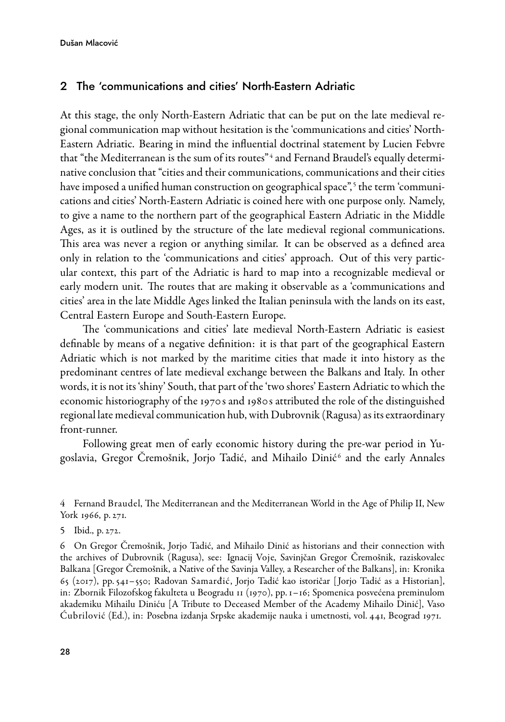### 2 The 'communications and cities' North-Eastern Adriatic

At this stage, the only North-Eastern Adriatic that can be put on the late medieval regional communication map without hesitation is the 'communications and cities' North-Eastern Adriatic. Bearing in mind the influential doctrinal statement by Lucien Febvre that "the Mediterranean is the sum of its routes"<sup>4</sup> and Fernand Braudel's equally determinative conclusion that "cities and their communications, communications and their cities have imposed a unified human construction on geographical space",<sup>5</sup> the term 'communications and cities' North-Eastern Adriatic is coined here with one purpose only. Namely, to give a name to the northern part of the geographical Eastern Adriatic in the Middle Ages, as it is outlined by the structure of the late medieval regional communications. This area was never a region or anything similar. It can be observed as a defined area only in relation to the 'communications and cities' approach. Out of this very particular context, this part of the Adriatic is hard to map into a recognizable medieval or early modern unit. The routes that are making it observable as a 'communications and cities' area in the late Middle Ages linked the Italian peninsula with the lands on its east, Central Eastern Europe and South-Eastern Europe.

The 'communications and cities' late medieval North-Eastern Adriatic is easiest definable by means of a negative definition: it is that part of the geographical Eastern Adriatic which is not marked by the maritime cities that made it into history as the predominant centres of late medieval exchange between the Balkans and Italy. In other words, it is not its 'shiny' South, that part of the 'two shores' Eastern Adriatic to which the economic historiography of the 1970 s and 1980 s attributed the role of the distinguished regional late medieval communication hub, with Dubrovnik (Ragusa) as its extraordinary front-runner.

Following great men of early economic history during the pre-war period in Yugoslavia, Gregor Cremošnik, Jorjo Tadić, and Mihailo Dinić $^{\rm 6}$  and the early Annales

4 Fernand Braudel, The Mediterranean and the Mediterranean World in the Age of Philip II, New York 1966, p. 271.

6 On Gregor Čremošnik, Jorjo Tadić, and Mihailo Dinić as historians and their connection with the archives of Dubrovnik (Ragusa), see: Ignacij Voje, Savinjčan Gregor Čremošnik, raziskovalec Balkana [Gregor Čremošnik, a Native of the Savinja Valley, a Researcher of the Balkans], in: Kronika 65 (2017), pp. 541–550; Radovan Samarđić, Jorjo Tadić kao istoričar [ Jorjo Tadić as a Historian], in: Zbornik Filozofskog fakulteta u Beogradu 11 (1970), pp. 1–16; Spomenica posvećena preminulom akademiku Mihailu Diniću [A Tribute to Deceased Member of the Academy Mihailo Dinić], Vaso Ćubrilović (Ed.), in: Posebna izdanja Srpske akademije nauka i umetnosti, vol. 441, Beograd 1971.

<sup>5</sup> Ibid., p. 272.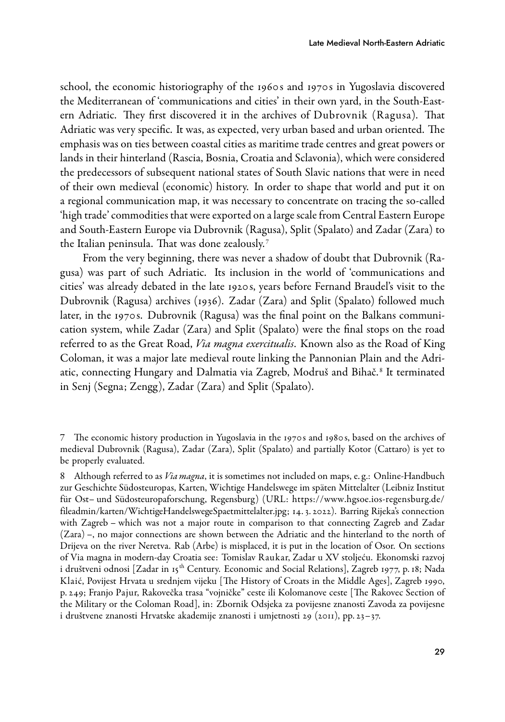school, the economic historiography of the 1960 s and 1970 s in Yugoslavia discovered the Mediterranean of 'communications and cities' in their own yard, in the South-Eastern Adriatic. They first discovered it in the archives of Dubrovnik (Ragusa). That Adriatic was very specific. It was, as expected, very urban based and urban oriented. The emphasis was on ties between coastal cities as maritime trade centres and great powers or lands in their hinterland (Rascia, Bosnia, Croatia and Sclavonia), which were considered the predecessors of subsequent national states of South Slavic nations that were in need of their own medieval (economic) history. In order to shape that world and put it on a regional communication map, it was necessary to concentrate on tracing the so-called 'high trade' commodities that were exported on a large scale from Central Eastern Europe and South-Eastern Europe via Dubrovnik (Ragusa), Split (Spalato) and Zadar (Zara) to the Italian peninsula. That was done zealously. <sup>7</sup>

From the very beginning, there was never a shadow of doubt that Dubrovnik (Ragusa) was part of such Adriatic. Its inclusion in the world of 'communications and cities' was already debated in the late 1920 s, years before Fernand Braudel's visit to the Dubrovnik (Ragusa) archives (1936). Zadar (Zara) and Split (Spalato) followed much later, in the 1970 s. Dubrovnik (Ragusa) was the final point on the Balkans communication system, while Zadar (Zara) and Split (Spalato) were the final stops on the road referred to as the Great Road, *Via magna exercitualis*. Known also as the Road of King Coloman, it was a major late medieval route linking the Pannonian Plain and the Adriatic, connecting Hungary and Dalmatia via Zagreb, Modruš and Bihač.<sup>8</sup> It terminated in Senj (Segna; Zengg), Zadar (Zara) and Split (Spalato).

<sup>7</sup> The economic history production in Yugoslavia in the 1970 s and 1980 s, based on the archives of medieval Dubrovnik (Ragusa), Zadar (Zara), Split (Spalato) and partially Kotor (Cattaro) is yet to be properly evaluated.

<sup>8</sup> Although referred to as Via magna, it is sometimes not included on maps, e.g.: Online-Handbuch zur Geschichte Südosteuropas, Karten, Wichtige Handelswege im späten Mittelalter (Leibniz Institut für Ost– und Südosteuropaforschung, Regensburg) (URL: [https://www.hgsoe.ios-regensburg.de/](https://www.hgsoe.ios-regensburg.de/fileadmin/karten/WichtigeHandelswegeSpaetmittelalter.jpg) [fileadmin/karten/WichtigeHandelswegeSpaetmittelalter.jpg](https://www.hgsoe.ios-regensburg.de/fileadmin/karten/WichtigeHandelswegeSpaetmittelalter.jpg); 14. 3. 2022). Barring Rijeka's connection with Zagreb – which was not a major route in comparison to that connecting Zagreb and Zadar (Zara) –, no major connections are shown between the Adriatic and the hinterland to the north of Drijeva on the river Neretva. Rab (Arbe) is misplaced, it is put in the location of Osor. On sections of Via magna in modern-day Croatia see: Tomislav Raukar, Zadar u XV stoljeću. Ekonomski razvoj i društveni odnosi [Zadar in 15<sup>th</sup> Century. Economic and Social Relations], Zagreb 1977, p. 18; Nada Klaić, Povijest Hrvata u srednjem vijeku [The History of Croats in the Middle Ages], Zagreb 1990, p. 249; Franjo Pajur, Rakovečka trasa "vojničke" ceste ili Kolomanove ceste [The Rakovec Section of the Military or the Coloman Road], in: Zbornik Odsjeka za povijesne znanosti Zavoda za povijesne i društvene znanosti Hrvatske akademije znanosti i umjetnosti 29 (2011), pp. 23–37.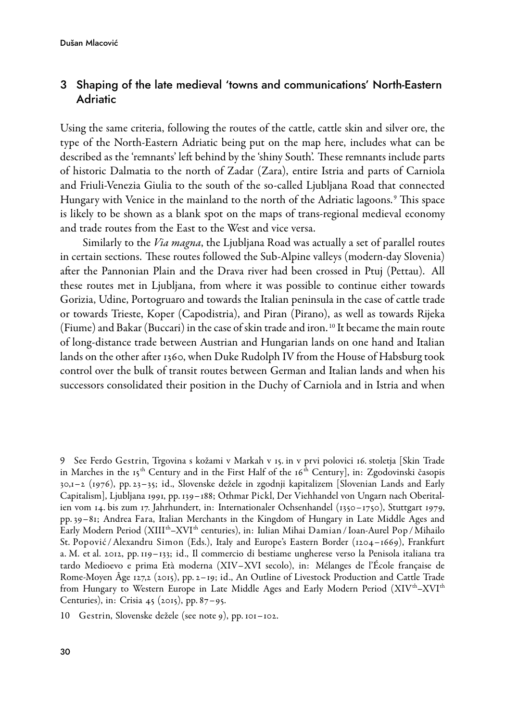## 3 Shaping of the late medieval 'towns and communications' NorthEastern Adriatic

Using the same criteria, following the routes of the cattle, cattle skin and silver ore, the type of the North-Eastern Adriatic being put on the map here, includes what can be described as the 'remnants' left behind by the 'shiny South'. These remnants include parts of historic Dalmatia to the north of Zadar (Zara), entire Istria and parts of Carniola and Friuli-Venezia Giulia to the south of the so-called Ljubljana Road that connected Hungary with Venice in the mainland to the north of the Adriatic lagoons.<sup>9</sup> This space is likely to be shown as a blank spot on the maps of trans-regional medieval economy and trade routes from the East to the West and vice versa.

Similarly to the *Via magna*, the Ljubljana Road was actually a set of parallel routes in certain sections. These routes followed the Sub-Alpine valleys (modern-day Slovenia) after the Pannonian Plain and the Drava river had been crossed in Ptuj (Pettau). All these routes met in Ljubljana, from where it was possible to continue either towards Gorizia, Udine, Portogruaro and towards the Italian peninsula in the case of cattle trade or towards Trieste, Koper (Capodistria), and Piran (Pirano), as well as towards Rijeka (Fiume) and Bakar (Buccari) in the case of skin trade and iron.<sup>10</sup> It became the main route of long-distance trade between Austrian and Hungarian lands on one hand and Italian lands on the other after 1360, when Duke Rudolph IV from the House of Habsburg took control over the bulk of transit routes between German and Italian lands and when his successors consolidated their position in the Duchy of Carniola and in Istria and when

<sup>9</sup> See Ferdo Gestrin, Trgovina s kožami v Markah v 15. in v prvi polovici 16. stoletja [Skin Trade in Marches in the 15<sup>th</sup> Century and in the First Half of the 16<sup>th</sup> Century], in: Zgodovinski časopis 30,1–2 (1976), pp. 23–35; id., Slovenske dežele in zgodnji kapitalizem [Slovenian Lands and Early Capitalism], Ljubljana 1991, pp. 139–188; Othmar Pickl, Der Viehhandel von Ungarn nach Oberitalien vom 14. bis zum 17. Jahrhundert, in: Internationaler Ochsenhandel (1350–1750), Stuttgart 1979, pp. 39–81; Andrea Fara, Italian Merchants in the Kingdom of Hungary in Late Middle Ages and Early Modern Period (XIIIth–XVIth centuries), in: Iulian Mihai Damian / IoanAurel Pop /Mihailo St. Popović /Alexandru Simon (Eds.), Italy and Europe's Eastern Border (1204–1669), Frankfurt a. M. et al. 2012, pp. 119–133; id., Il commercio di bestiame ungherese verso la Penisola italiana tra tardo Medioevo e prima Età moderna (XIV–XVI secolo), in: Mélanges de l'École française de Rome-Moyen Âge 127,2 (2015), pp. 2–19; id., An Outline of Livestock Production and Cattle Trade from Hungary to Western Europe in Late Middle Ages and Early Modern Period  $(XI V^{th}-XVI^{th})$ Centuries), in: Crisia 45 (2015), pp. 87–95.

<sup>10</sup> Gestrin, Slovenske dežele (see note 9), pp. 101–102.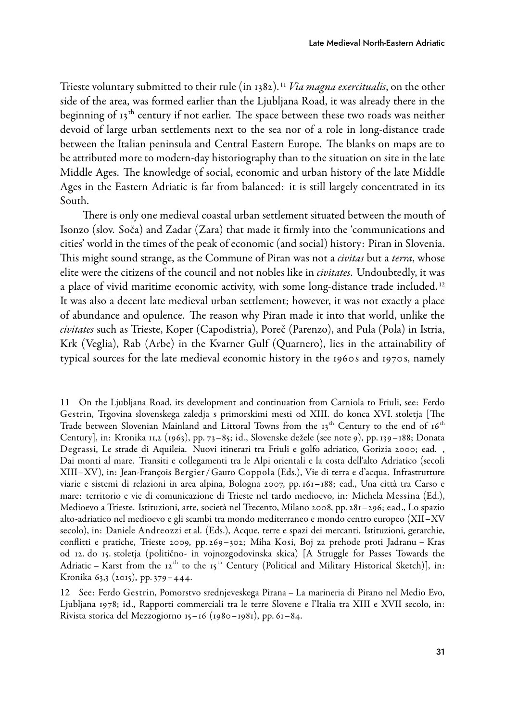Trieste voluntary submitted to their rule (in 1382).<sup>11</sup> Via magna exercitualis, on the other side of the area, was formed earlier than the Ljubljana Road, it was already there in the beginning of 13<sup>th</sup> century if not earlier. The space between these two roads was neither devoid of large urban settlements next to the sea nor of a role in long-distance trade between the Italian peninsula and Central Eastern Europe. The blanks on maps are to be attributed more to modern-day historiography than to the situation on site in the late Middle Ages. The knowledge of social, economic and urban history of the late Middle Ages in the Eastern Adriatic is far from balanced: it is still largely concentrated in its South.

There is only one medieval coastal urban settlement situated between the mouth of Isonzo (slov. Soča) and Zadar (Zara) that made it firmly into the 'communications and cities' world in the times of the peak of economic (and social) history: Piran in Slovenia. This might sound strange, as the Commune of Piran was not a *civitas* but a *terra*, whose elite were the citizens of the council and not nobles like in civitates. Undoubtedly, it was a place of vivid maritime economic activity, with some long-distance trade included.<sup>12</sup> It was also a decent late medieval urban settlement; however, it was not exactly a place of abundance and opulence. The reason why Piran made it into that world, unlike the civitates such as Trieste, Koper (Capodistria), Poreč (Parenzo), and Pula (Pola) in Istria, Krk (Veglia), Rab (Arbe) in the Kvarner Gulf (Quarnero), lies in the attainability of typical sources for the late medieval economic history in the 1960 s and 1970 s, namely

11 On the Ljubljana Road, its development and continuation from Carniola to Friuli, see: Ferdo Gestrin, Trgovina slovenskega zaledja s primorskimi mesti od XIII. do konca XVI. stoletja [The Trade between Slovenian Mainland and Littoral Towns from the 13<sup>th</sup> Century to the end of 16<sup>th</sup> Century], in: Kronika 11,2 (1963), pp. 73–85; id., Slovenske dežele (see note 9), pp. 139–188; Donata Degrassi, Le strade di Aquileia. Nuovi itinerari tra Friuli e golfo adriatico, Gorizia 2000; ead. , Dai monti al mare. Transiti e collegamenti tra le Alpi orientali e la costa dell'alto Adriatico (secoli XIII–XV), in: JeanFrançois Bergier / Gauro Coppola (Eds.), Vie di terra e d'acqua. Infrastrutture viarie e sistemi di relazioni in area alpina, Bologna 2007, pp. 161–188; ead., Una città tra Carso e mare: territorio e vie di comunicazione di Trieste nel tardo medioevo, in: Michela Messina (Ed.), Medioevo a Trieste. Istituzioni, arte, società nel Trecento, Milano 2008, pp. 281–296; ead., Lo spazio alto-adriatico nel medioevo e gli scambi tra mondo mediterraneo e mondo centro europeo (XII–XV secolo), in: Daniele Andreozzi et al. (Eds.), Acque, terre e spazi dei mercanti. Istituzioni, gerarchie, conflitti e pratiche, Trieste 2009, pp. 269–302; Miha Kosi, Boj za prehode proti Jadranu – Kras od 12. do 15. stoletja (politično- in vojnozgodovinska skica) [A Struggle for Passes Towards the Adriatic – Karst from the 12<sup>th</sup> to the 15<sup>th</sup> Century (Political and Military Historical Sketch)], in: Kronika 63,3 (2015), pp. 379–444.

12 See: Ferdo Gestrin, Pomorstvo srednjeveskega Pirana – La marineria di Pirano nel Medio Evo, Ljubljana 1978; id., Rapporti commerciali tra le terre Slovene e l'Italia tra XIII e XVII secolo, in: Rivista storica del Mezzogiorno 15–16 (1980–1981), pp. 61–84.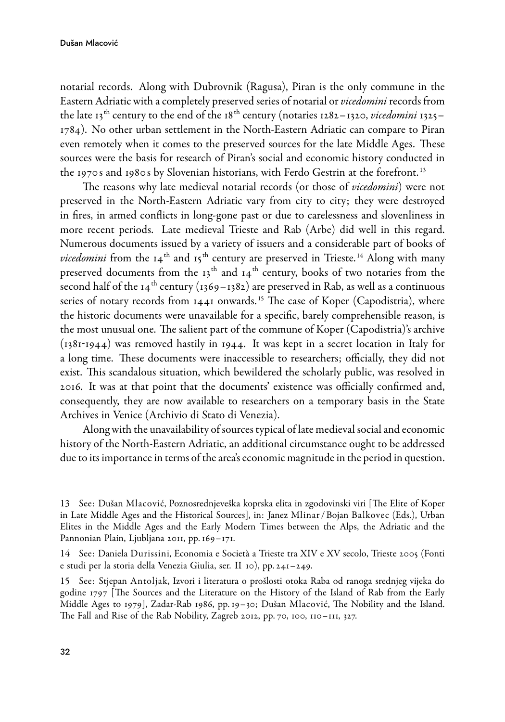notarial records. Along with Dubrovnik (Ragusa), Piran is the only commune in the Eastern Adriatic with a completely preserved series of notarial or vicedomini records from the late 13<sup>th</sup> century to the end of the 18<sup>th</sup> century (notaries 1282–1320, *vicedomini* 1325– 1784). No other urban settlement in the NorthEastern Adriatic can compare to Piran even remotely when it comes to the preserved sources for the late Middle Ages. These sources were the basis for research of Piran's social and economic history conducted in the 1970 s and 1980 s by Slovenian historians, with Ferdo Gestrin at the forefront. <sup>13</sup>

The reasons why late medieval notarial records (or those of vicedomini) were not preserved in the North-Eastern Adriatic vary from city to city; they were destroyed in fires, in armed conflicts in long-gone past or due to carelessness and slovenliness in more recent periods. Late medieval Trieste and Rab (Arbe) did well in this regard. Numerous documents issued by a variety of issuers and a considerable part of books of *vicedomini* from the  $14<sup>th</sup>$  and  $15<sup>th</sup>$  century are preserved in Trieste.<sup>14</sup> Along with many preserved documents from the  $13<sup>th</sup>$  and  $14<sup>th</sup>$  century, books of two notaries from the second half of the  $14<sup>th</sup>$  century (1369–1382) are preserved in Rab, as well as a continuous series of notary records from 1441 onwards.<sup>15</sup> The case of Koper (Capodistria), where the historic documents were unavailable for a specific, barely comprehensible reason, is the most unusual one. The salient part of the commune of Koper (Capodistria)'s archive  $(1381-1944)$  was removed hastily in 1944. It was kept in a secret location in Italy for a long time. These documents were inaccessible to researchers; officially, they did not exist. This scandalous situation, which bewildered the scholarly public, was resolved in 2016. It was at that point that the documents' existence was officially confirmed and, consequently, they are now available to researchers on a temporary basis in the State Archives in Venice (Archivio di Stato di Venezia).

Along with the unavailability of sources typical of late medieval social and economic history of the North-Eastern Adriatic, an additional circumstance ought to be addressed due to its importance in terms of the area's economic magnitude in the period in question.

15 See: Stjepan Antoljak, Izvori i literatura o prošlosti otoka Raba od ranoga srednjeg vijeka do godine 1797 [The Sources and the Literature on the History of the Island of Rab from the Early Middle Ages to 1979], Zadar-Rab 1986, pp. 19–30; Dušan Mlacović, The Nobility and the Island. The Fall and Rise of the Rab Nobility, Zagreb 2012, pp. 70, 100, 110–111, 327.

<sup>13</sup> See: Dušan Mlacović, Poznosrednjeveška koprska elita in zgodovinski viri [The Elite of Koper in Late Middle Ages and the Historical Sources], in: Janez Mlinar / Bojan Balkovec (Eds.), Urban Elites in the Middle Ages and the Early Modern Times between the Alps, the Adriatic and the Pannonian Plain, Ljubljana 2011, pp. 169-171.

<sup>14</sup> See: Daniela Durissini, Economia e Società a Trieste tra XIV e XV secolo, Trieste 2005 (Fonti e studi per la storia della Venezia Giulia, ser. II 10), pp. 241–249.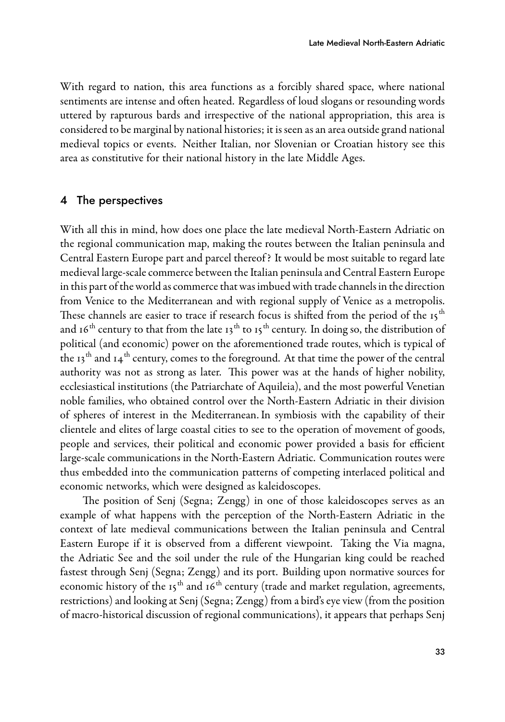With regard to nation, this area functions as a forcibly shared space, where national sentiments are intense and often heated. Regardless of loud slogans or resounding words uttered by rapturous bards and irrespective of the national appropriation, this area is considered to be marginal by national histories; it is seen as an area outside grand national medieval topics or events. Neither Italian, nor Slovenian or Croatian history see this area as constitutive for their national history in the late Middle Ages.

#### 4 The perspectives

With all this in mind, how does one place the late medieval North-Eastern Adriatic on the regional communication map, making the routes between the Italian peninsula and Central Eastern Europe part and parcel thereof ? It would be most suitable to regard late medieval large-scale commerce between the Italian peninsula and Central Eastern Europe in this part of the world as commerce that was imbued with trade channels in the direction from Venice to the Mediterranean and with regional supply of Venice as a metropolis. These channels are easier to trace if research focus is shifted from the period of the  $15<sup>th</sup>$ and 16<sup>th</sup> century to that from the late 13<sup>th</sup> to 15<sup>th</sup> century. In doing so, the distribution of political (and economic) power on the aforementioned trade routes, which is typical of the 13<sup>th</sup> and 14<sup>th</sup> century, comes to the foreground. At that time the power of the central authority was not as strong as later. This power was at the hands of higher nobility, ecclesiastical institutions (the Patriarchate of Aquileia), and the most powerful Venetian noble families, who obtained control over the NorthEastern Adriatic in their division of spheres of interest in the Mediterranean. In symbiosis with the capability of their clientele and elites of large coastal cities to see to the operation of movement of goods, people and services, their political and economic power provided a basis for efficient large-scale communications in the North-Eastern Adriatic. Communication routes were thus embedded into the communication patterns of competing interlaced political and economic networks, which were designed as kaleidoscopes.

The position of Senj (Segna; Zengg) in one of those kaleidoscopes serves as an example of what happens with the perception of the NorthEastern Adriatic in the context of late medieval communications between the Italian peninsula and Central Eastern Europe if it is observed from a different viewpoint. Taking the Via magna, the Adriatic See and the soil under the rule of the Hungarian king could be reached fastest through Senj (Segna; Zengg) and its port. Building upon normative sources for economic history of the  $15<sup>th</sup>$  and  $16<sup>th</sup>$  century (trade and market regulation, agreements, restrictions) and looking at Senj (Segna; Zengg) from a bird's eye view (from the position of macro-historical discussion of regional communications), it appears that perhaps Senj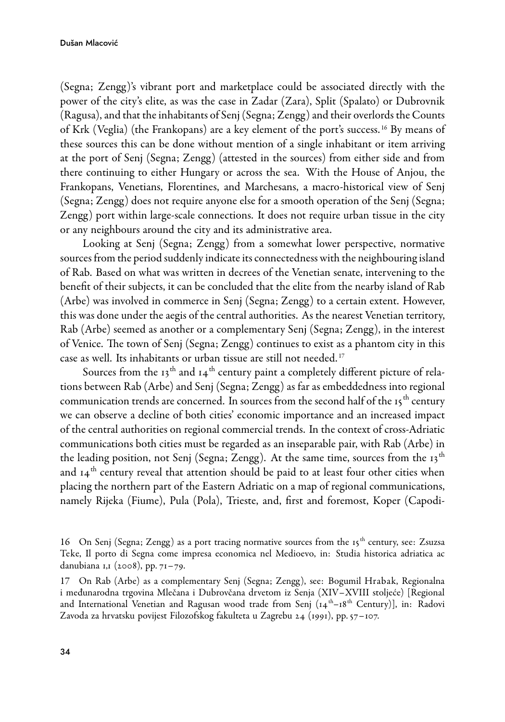(Segna; Zengg)'s vibrant port and marketplace could be associated directly with the power of the city's elite, as was the case in Zadar (Zara), Split (Spalato) or Dubrovnik (Ragusa), and that the inhabitants of Senj (Segna; Zengg) and their overlords the Counts of Krk (Veglia) (the Frankopans) are a key element of the port's success. <sup>16</sup> By means of these sources this can be done without mention of a single inhabitant or item arriving at the port of Senj (Segna; Zengg) (attested in the sources) from either side and from there continuing to either Hungary or across the sea. With the House of Anjou, the Frankopans, Venetians, Florentines, and Marchesans, a macro-historical view of Senj (Segna; Zengg) does not require anyone else for a smooth operation of the Senj (Segna; Zengg) port within large-scale connections. It does not require urban tissue in the city or any neighbours around the city and its administrative area.

Looking at Senj (Segna; Zengg) from a somewhat lower perspective, normative sources from the period suddenly indicate its connectedness with the neighbouring island of Rab. Based on what was written in decrees of the Venetian senate, intervening to the benefit of their subjects, it can be concluded that the elite from the nearby island of Rab (Arbe) was involved in commerce in Senj (Segna; Zengg) to a certain extent. However, this was done under the aegis of the central authorities. As the nearest Venetian territory, Rab (Arbe) seemed as another or a complementary Senj (Segna; Zengg), in the interest of Venice. The town of Senj (Segna; Zengg) continues to exist as a phantom city in this case as well. Its inhabitants or urban tissue are still not needed. <sup>17</sup>

Sources from the  $13<sup>th</sup>$  and  $14<sup>th</sup>$  century paint a completely different picture of relations between Rab (Arbe) and Senj (Segna; Zengg) as far as embeddedness into regional communication trends are concerned. In sources from the second half of the  $15<sup>th</sup>$  century we can observe a decline of both cities' economic importance and an increased impact of the central authorities on regional commercial trends. In the context of crossAdriatic communications both cities must be regarded as an inseparable pair, with Rab (Arbe) in the leading position, not Senj (Segna; Zengg). At the same time, sources from the  $13<sup>th</sup>$ and  $14<sup>th</sup>$  century reveal that attention should be paid to at least four other cities when placing the northern part of the Eastern Adriatic on a map of regional communications, namely Rijeka (Fiume), Pula (Pola), Trieste, and, first and foremost, Koper (Capodi-

<sup>16</sup> On Senj (Segna; Zengg) as a port tracing normative sources from the 15<sup>th</sup> century, see: Zsuzsa Teke, Il porto di Segna come impresa economica nel Medioevo, in: Studia historica adriatica ac danubiana 1,1 (2008), pp. 71–79.

<sup>17</sup> On Rab (Arbe) as a complementary Senj (Segna; Zengg), see: Bogumil Hrabak, Regionalna i međunarodna trgovina Mlečana i Dubrovčana drvetom iz Senja (XIV–XVIII stoljeće) [Regional and International Venetian and Ragusan wood trade from Senj  $(\mu_4^{\text{th}} - 18^{\text{th}}$  Century)], in: Radovi Zavoda za hrvatsku povijest Filozofskog fakulteta u Zagrebu 24 (1991), pp. 57–107.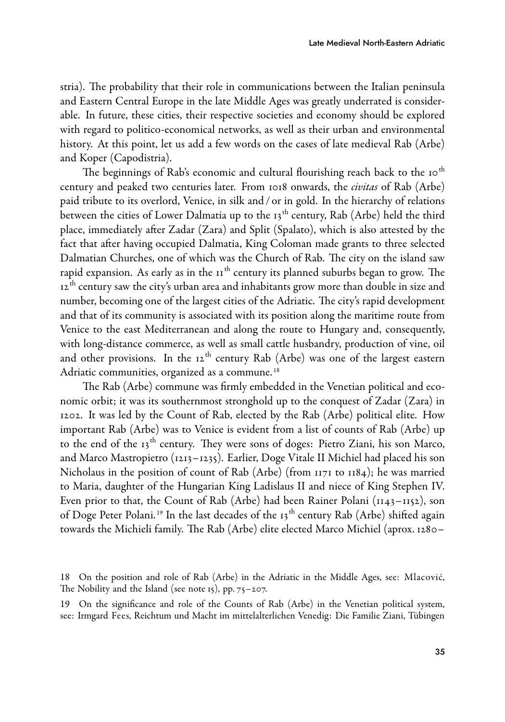stria). The probability that their role in communications between the Italian peninsula and Eastern Central Europe in the late Middle Ages was greatly underrated is considerable. In future, these cities, their respective societies and economy should be explored with regard to politico-economical networks, as well as their urban and environmental history. At this point, let us add a few words on the cases of late medieval Rab (Arbe) and Koper (Capodistria).

The beginnings of Rab's economic and cultural flourishing reach back to the  $10^{th}$ century and peaked two centuries later. From 1018 onwards, the *civitas* of Rab (Arbe) paid tribute to its overlord, Venice, in silk and / or in gold. In the hierarchy of relations between the cities of Lower Dalmatia up to the  $13<sup>th</sup>$  century, Rab (Arbe) held the third place, immediately after Zadar (Zara) and Split (Spalato), which is also attested by the fact that after having occupied Dalmatia, King Coloman made grants to three selected Dalmatian Churches, one of which was the Church of Rab. The city on the island saw rapid expansion. As early as in the  $11<sup>th</sup>$  century its planned suburbs began to grow. The 12<sup>th</sup> century saw the city's urban area and inhabitants grow more than double in size and number, becoming one of the largest cities of the Adriatic. The city's rapid development and that of its community is associated with its position along the maritime route from Venice to the east Mediterranean and along the route to Hungary and, consequently, with long-distance commerce, as well as small cattle husbandry, production of vine, oil and other provisions. In the 12<sup>th</sup> century Rab (Arbe) was one of the largest eastern Adriatic communities, organized as a commune.<sup>18</sup>

The Rab (Arbe) commune was firmly embedded in the Venetian political and economic orbit; it was its southernmost stronghold up to the conquest of Zadar (Zara) in 1202. It was led by the Count of Rab, elected by the Rab (Arbe) political elite. How important Rab (Arbe) was to Venice is evident from a list of counts of Rab (Arbe) up to the end of the 13<sup>th</sup> century. They were sons of doges: Pietro Ziani, his son Marco, and Marco Mastropietro (1213–1235). Earlier, Doge Vitale II Michiel had placed his son Nicholaus in the position of count of Rab (Arbe) (from 1171 to 1184); he was married to Maria, daughter of the Hungarian King Ladislaus II and niece of King Stephen IV. Even prior to that, the Count of Rab (Arbe) had been Rainer Polani  $(1143-1152)$ , son of Doge Peter Polani.<sup>19</sup> In the last decades of the  $13<sup>th</sup>$  century Rab (Arbe) shifted again towards the Michieli family. The Rab (Arbe) elite elected Marco Michiel (aprox. 1280–

<sup>18</sup> On the position and role of Rab (Arbe) in the Adriatic in the Middle Ages, see: Mlacović, The Nobility and the Island (see note 15), pp. 75–207.

<sup>19</sup> On the significance and role of the Counts of Rab (Arbe) in the Venetian political system, see: Irmgard Fees, Reichtum und Macht im mittelalterlichen Venedig: Die Familie Ziani, Tübingen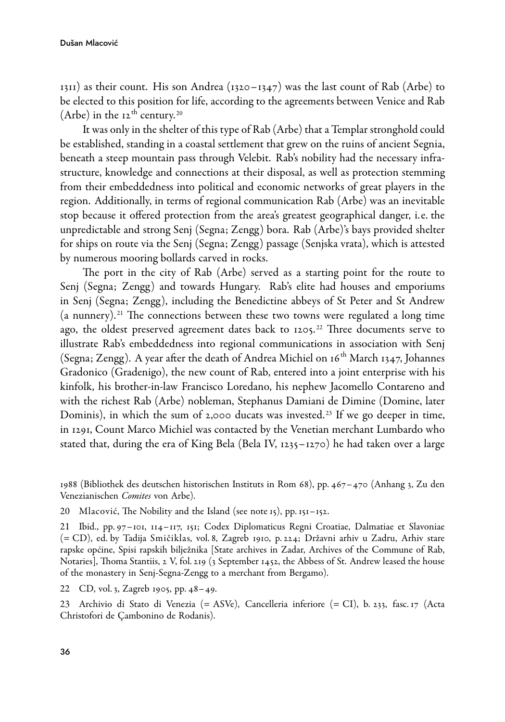$1311$ ) as their count. His son Andrea ( $1320 - 1347$ ) was the last count of Rab (Arbe) to be elected to this position for life, according to the agreements between Venice and Rab (Arbe) in the  $12^{th}$  century.<sup>20</sup>

It was only in the shelter of this type of Rab (Arbe) that a Templar stronghold could be established, standing in a coastal settlement that grew on the ruins of ancient Segnia, beneath a steep mountain pass through Velebit. Rab's nobility had the necessary infrastructure, knowledge and connections at their disposal, as well as protection stemming from their embeddedness into political and economic networks of great players in the region. Additionally, in terms of regional communication Rab (Arbe) was an inevitable stop because it offered protection from the area's greatest geographical danger, i.e. the unpredictable and strong Senj (Segna; Zengg) bora. Rab (Arbe)'s bays provided shelter for ships on route via the Senj (Segna; Zengg) passage (Senjska vrata), which is attested by numerous mooring bollards carved in rocks.

The port in the city of Rab (Arbe) served as a starting point for the route to Senj (Segna; Zengg) and towards Hungary. Rab's elite had houses and emporiums in Senj (Segna; Zengg), including the Benedictine abbeys of St Peter and St Andrew (a nunnery).<sup>21</sup> The connections between these two towns were regulated a long time ago, the oldest preserved agreement dates back to 1205.<sup>22</sup> Three documents serve to illustrate Rab's embeddedness into regional communications in association with Senj (Segna; Zengg). A year after the death of Andrea Michiel on  $16<sup>th</sup>$  March 1347, Johannes Gradonico (Gradenigo), the new count of Rab, entered into a joint enterprise with his kinfolk, his brother-in-law Francisco Loredano, his nephew Jacomello Contareno and with the richest Rab (Arbe) nobleman, Stephanus Damiani de Dimine (Domine, later Dominis), in which the sum of  $2,000$  ducats was invested.<sup>23</sup> If we go deeper in time, in 1291, Count Marco Michiel was contacted by the Venetian merchant Lumbardo who stated that, during the era of King Bela (Bela IV, 1235–1270) he had taken over a large

1988 (Bibliothek des deutschen historischen Instituts in Rom 68), pp. 467–470 (Anhang 3, Zu den Venezianischen Comites von Arbe).

20 Mlacović, The Nobility and the Island (see note 15), pp. 151–152.

21 Ibid., pp. 97–101, 114–117, 151; Codex Diplomaticus Regni Croatiae, Dalmatiae et Slavoniae (= CD), ed. by Tadija Smičiklas, vol. 8, Zagreb 1910, p. 224; Državni arhiv u Zadru, Arhiv stare rapske općine, Spisi rapskih bilježnika [State archives in Zadar, Archives of the Commune of Rab, Notaries], Thoma Stantiis, 2 V, fol. 219 (3 September 1452, the Abbess of St. Andrew leased the house of the monastery in Senj-Segna-Zengg to a merchant from Bergamo).

22 CD, vol. 3, Zagreb 1905, pp. 48–49.

23 Archivio di Stato di Venezia (= ASVe), Cancelleria inferiore (= CI), b. 233, fasc. 17 (Acta Christofori de Çambonino de Rodanis).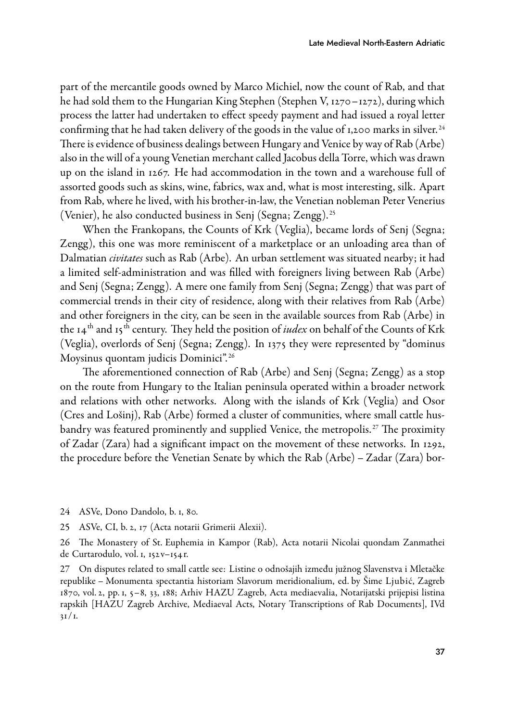part of the mercantile goods owned by Marco Michiel, now the count of Rab, and that he had sold them to the Hungarian King Stephen (Stephen V, 1270–1272), during which process the latter had undertaken to effect speedy payment and had issued a royal letter confirming that he had taken delivery of the goods in the value of 1,200 marks in silver.<sup>24</sup> There is evidence of business dealings between Hungary and Venice by way of Rab (Arbe) also in the will of a young Venetian merchant called Jacobus della Torre, which was drawn up on the island in 1267. He had accommodation in the town and a warehouse full of assorted goods such as skins, wine, fabrics, wax and, what is most interesting, silk. Apart from Rab, where he lived, with his brother-in-law, the Venetian nobleman Peter Venerius (Venier), he also conducted business in Senj (Segna; Zengg). <sup>25</sup>

When the Frankopans, the Counts of Krk (Veglia), became lords of Senj (Segna; Zengg), this one was more reminiscent of a marketplace or an unloading area than of Dalmatian civitates such as Rab (Arbe). An urban settlement was situated nearby; it had a limited self-administration and was filled with foreigners living between Rab (Arbe) and Senj (Segna; Zengg). A mere one family from Senj (Segna; Zengg) that was part of commercial trends in their city of residence, along with their relatives from Rab (Arbe) and other foreigners in the city, can be seen in the available sources from Rab (Arbe) in the  $14^{th}$  and  $15^{th}$  century. They held the position of *iudex* on behalf of the Counts of Krk (Veglia), overlords of Senj (Segna; Zengg). In 1375 they were represented by "dominus Moysinus quontam judicis Dominici". <sup>26</sup>

The aforementioned connection of Rab (Arbe) and Senj (Segna; Zengg) as a stop on the route from Hungary to the Italian peninsula operated within a broader network and relations with other networks. Along with the islands of Krk (Veglia) and Osor (Cres and Lošinj), Rab (Arbe) formed a cluster of communities, where small cattle husbandry was featured prominently and supplied Venice, the metropolis. <sup>27</sup> The proximity of Zadar (Zara) had a significant impact on the movement of these networks. In 1292, the procedure before the Venetian Senate by which the Rab (Arbe) – Zadar (Zara) bor-

- 24 ASVe, Dono Dandolo, b. 1, 80.
- 25 ASVe, CI, b. 2, 17 (Acta notarii Grimerii Alexii).

26 The Monastery of St. Euphemia in Kampor (Rab), Acta notarii Nicolai quondam Zanmathei de Curtarodulo, vol. 1, 152v–154r.

27 On disputes related to small cattle see: Listine o odnošajih između južnog Slavenstva i Mletačke republike – Monumenta spectantia historiam Slavorum meridionalium, ed. by Šime Ljubić, Zagreb 1870, vol. 2, pp. 1, 5–8, 33, 188; Arhiv HAZU Zagreb, Acta mediaevalia, Notarijatski prijepisi listina rapskih [HAZU Zagreb Archive, Mediaeval Acts, Notary Transcriptions of Rab Documents], IVd  $31/1.$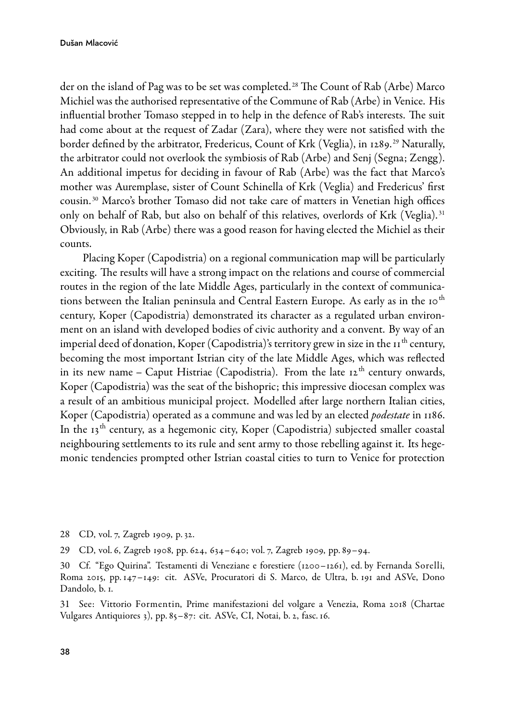der on the island of Pag was to be set was completed. <sup>28</sup> The Count of Rab (Arbe) Marco Michiel was the authorised representative of the Commune of Rab (Arbe) in Venice. His influential brother Tomaso stepped in to help in the defence of Rab's interests. The suit had come about at the request of Zadar (Zara), where they were not satisfied with the border defined by the arbitrator, Fredericus, Count of Krk (Veglia), in 1289. <sup>29</sup> Naturally, the arbitrator could not overlook the symbiosis of Rab (Arbe) and Senj (Segna; Zengg). An additional impetus for deciding in favour of Rab (Arbe) was the fact that Marco's mother was Auremplase, sister of Count Schinella of Krk (Veglia) and Fredericus' first cousin. <sup>30</sup> Marco's brother Tomaso did not take care of matters in Venetian high offices only on behalf of Rab, but also on behalf of this relatives, overlords of Krk (Veglia). <sup>31</sup> Obviously, in Rab (Arbe) there was a good reason for having elected the Michiel as their counts.

Placing Koper (Capodistria) on a regional communication map will be particularly exciting. The results will have a strong impact on the relations and course of commercial routes in the region of the late Middle Ages, particularly in the context of communications between the Italian peninsula and Central Eastern Europe. As early as in the 10<sup>th</sup> century, Koper (Capodistria) demonstrated its character as a regulated urban environment on an island with developed bodies of civic authority and a convent. By way of an imperial deed of donation, Koper (Capodistria)'s territory grew in size in the  $11<sup>th</sup>$  century, becoming the most important Istrian city of the late Middle Ages, which was reflected in its new name – Caput Histriae (Capodistria). From the late  $12<sup>th</sup>$  century onwards, Koper (Capodistria) was the seat of the bishopric; this impressive diocesan complex was a result of an ambitious municipal project. Modelled after large northern Italian cities, Koper (Capodistria) operated as a commune and was led by an elected *podestate* in 1186. In the  $13<sup>th</sup>$  century, as a hegemonic city, Koper (Capodistria) subjected smaller coastal neighbouring settlements to its rule and sent army to those rebelling against it. Its hegemonic tendencies prompted other Istrian coastal cities to turn to Venice for protection

28 CD, vol. 7, Zagreb 1909, p. 32.

29 CD, vol. 6, Zagreb 1908, pp. 624, 634–640; vol. 7, Zagreb 1909, pp. 89–94.

30 Cf. "Ego Quirina". Testamenti di Veneziane e forestiere (1200–1261), ed. by Fernanda Sorelli, Roma 2015, pp. 147–149: cit. ASVe, Procuratori di S. Marco, de Ultra, b. 191 and ASVe, Dono Dandolo, b. 1.

31 See: Vittorio Formentin, Prime manifestazioni del volgare a Venezia, Roma 2018 (Chartae Vulgares Antiquiores 3), pp. 85–87: cit. ASVe, CI, Notai, b. 2, fasc. 16.